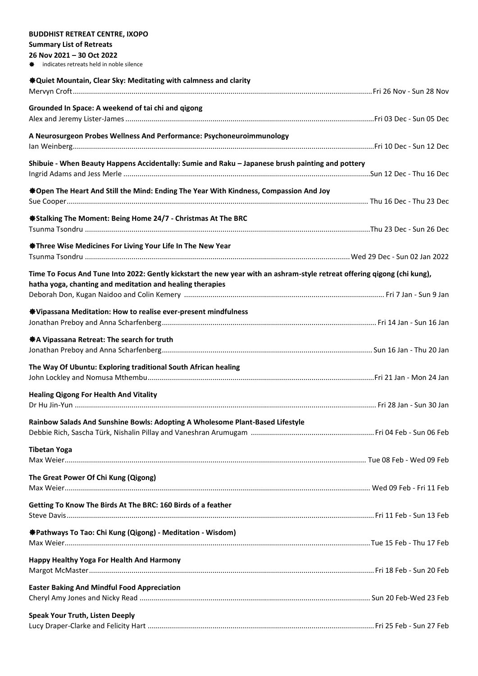| <b>BUDDHIST RETREAT CENTRE, IXOPO</b>                                                                                                                                                 |  |
|---------------------------------------------------------------------------------------------------------------------------------------------------------------------------------------|--|
| <b>Summary List of Retreats</b>                                                                                                                                                       |  |
| 26 Nov 2021 - 30 Oct 2022<br>indicates retreats held in noble silence                                                                                                                 |  |
|                                                                                                                                                                                       |  |
| <b><math>\bigcirc</math></b> Quiet Mountain, Clear Sky: Meditating with calmness and clarity                                                                                          |  |
| Grounded In Space: A weekend of tai chi and qigong                                                                                                                                    |  |
| A Neurosurgeon Probes Wellness And Performance: Psychoneuroimmunology                                                                                                                 |  |
| Shibuie - When Beauty Happens Accidentally: Sumie and Raku - Japanese brush painting and pottery                                                                                      |  |
| ※ Open The Heart And Still the Mind: Ending The Year With Kindness, Compassion And Joy                                                                                                |  |
| <b>Stalking The Moment: Being Home 24/7 - Christmas At The BRC</b>                                                                                                                    |  |
| <b>StarFilter Allen Convertional Artic Avance Wise Medicines For Living Your Life In The New Year</b>                                                                                 |  |
|                                                                                                                                                                                       |  |
| Time To Focus And Tune Into 2022: Gently kickstart the new year with an ashram-style retreat offering qigong (chi kung),<br>hatha yoga, chanting and meditation and healing therapies |  |
| <b>Solution</b> Weditation: How to realise ever-present mindfulness                                                                                                                   |  |
| ※ A Vipassana Retreat: The search for truth                                                                                                                                           |  |
| The Way Of Ubuntu: Exploring traditional South African healing                                                                                                                        |  |
| <b>Healing Qigong For Health And Vitality</b>                                                                                                                                         |  |
| Rainbow Salads And Sunshine Bowls: Adopting A Wholesome Plant-Based Lifestyle                                                                                                         |  |
|                                                                                                                                                                                       |  |
| <b>Tibetan Yoga</b>                                                                                                                                                                   |  |
| The Great Power Of Chi Kung (Qigong)                                                                                                                                                  |  |
| Getting To Know The Birds At The BRC: 160 Birds of a feather                                                                                                                          |  |
| <b>Stathways To Tao: Chi Kung (Qigong) - Meditation - Wisdom)</b>                                                                                                                     |  |
| Happy Healthy Yoga For Health And Harmony                                                                                                                                             |  |
|                                                                                                                                                                                       |  |
| <b>Easter Baking And Mindful Food Appreciation</b>                                                                                                                                    |  |
| <b>Speak Your Truth, Listen Deeply</b>                                                                                                                                                |  |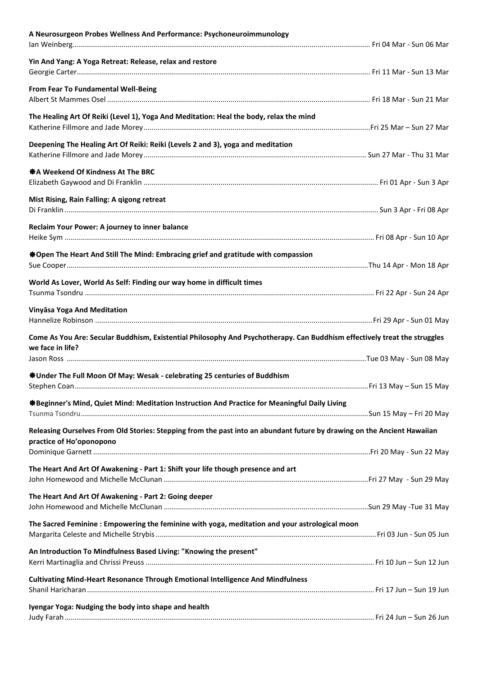| A Neurosurgeon Probes Wellness And Performance: Psychoneuroimmunology                                                                         |  |
|-----------------------------------------------------------------------------------------------------------------------------------------------|--|
| Yin And Yang: A Yoga Retreat: Release, relax and restore                                                                                      |  |
| From Fear To Fundamental Well-Being                                                                                                           |  |
| The Healing Art Of Reiki (Level 1), Yoga And Meditation: Heal the body, relax the mind                                                        |  |
| Deepening The Healing Art Of Reiki: Reiki (Levels 2 and 3), yoga and meditation                                                               |  |
| ※ A Weekend Of Kindness At The BRC                                                                                                            |  |
| Mist Rising, Rain Falling: A qigong retreat                                                                                                   |  |
| Reclaim Your Power: A journey to inner balance                                                                                                |  |
| ※Open The Heart And Still The Mind: Embracing grief and gratitude with compassion                                                             |  |
| World As Lover, World As Self: Finding our way home in difficult times                                                                        |  |
| Vinyāsa Yoga And Meditation                                                                                                                   |  |
| Come As You Are: Secular Buddhism, Existential Philosophy And Psychotherapy. Can Buddhism effectively treat the struggles<br>we face in life? |  |
| <b><math>\clubsuit</math> Under The Full Moon Of May: Wesak - celebrating 25 centuries of Buddhism</b>                                        |  |
| ※Beginner's Mind, Quiet Mind: Meditation Instruction And Practice for Meaningful Daily Living                                                 |  |
| Releasing Ourselves From Old Stories: Stepping from the past into an abundant future by drawing on the Ancient Hawaiian                       |  |
| practice of Ho'oponopono                                                                                                                      |  |
| The Heart And Art Of Awakening - Part 1: Shift your life though presence and art                                                              |  |
| The Heart And Art Of Awakening - Part 2: Going deeper                                                                                         |  |
| The Sacred Feminine: Empowering the feminine with yoga, meditation and your astrological moon                                                 |  |
| An Introduction To Mindfulness Based Living: "Knowing the present"                                                                            |  |
| Cultivating Mind-Heart Resonance Through Emotional Intelligence And Mindfulness                                                               |  |
| Iyengar Yoga: Nudging the body into shape and health                                                                                          |  |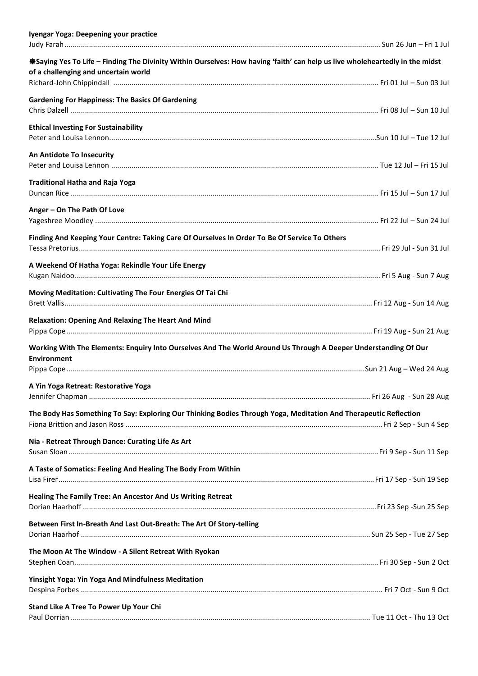| Iyengar Yoga: Deepening your practice                                                                                        |  |  |
|------------------------------------------------------------------------------------------------------------------------------|--|--|
| *Saying Yes To Life - Finding The Divinity Within Ourselves: How having 'faith' can help us live wholeheartedly in the midst |  |  |
| of a challenging and uncertain world                                                                                         |  |  |
| <b>Gardening For Happiness: The Basics Of Gardening</b>                                                                      |  |  |
| <b>Ethical Investing For Sustainability</b>                                                                                  |  |  |
| An Antidote To Insecurity                                                                                                    |  |  |
| <b>Traditional Hatha and Raja Yoga</b>                                                                                       |  |  |
| Anger - On The Path Of Love                                                                                                  |  |  |
| Finding And Keeping Your Centre: Taking Care Of Ourselves In Order To Be Of Service To Others                                |  |  |
| A Weekend Of Hatha Yoga: Rekindle Your Life Energy                                                                           |  |  |
| Moving Meditation: Cultivating The Four Energies Of Tai Chi                                                                  |  |  |
| <b>Relaxation: Opening And Relaxing The Heart And Mind</b>                                                                   |  |  |
| Working With The Elements: Enquiry Into Ourselves And The World Around Us Through A Deeper Understanding Of Our              |  |  |
| <b>Environment</b>                                                                                                           |  |  |
| A Yin Yoga Retreat: Restorative Yoga                                                                                         |  |  |
| The Body Has Something To Say: Exploring Our Thinking Bodies Through Yoga, Meditation And Therapeutic Reflection             |  |  |
| Nia - Retreat Through Dance: Curating Life As Art                                                                            |  |  |
| A Taste of Somatics: Feeling And Healing The Body From Within                                                                |  |  |
| Healing The Family Tree: An Ancestor And Us Writing Retreat                                                                  |  |  |
| Between First In-Breath And Last Out-Breath: The Art Of Story-telling                                                        |  |  |
| The Moon At The Window - A Silent Retreat With Ryokan                                                                        |  |  |
| Yinsight Yoga: Yin Yoga And Mindfulness Meditation                                                                           |  |  |
| Stand Like A Tree To Power Up Your Chi                                                                                       |  |  |